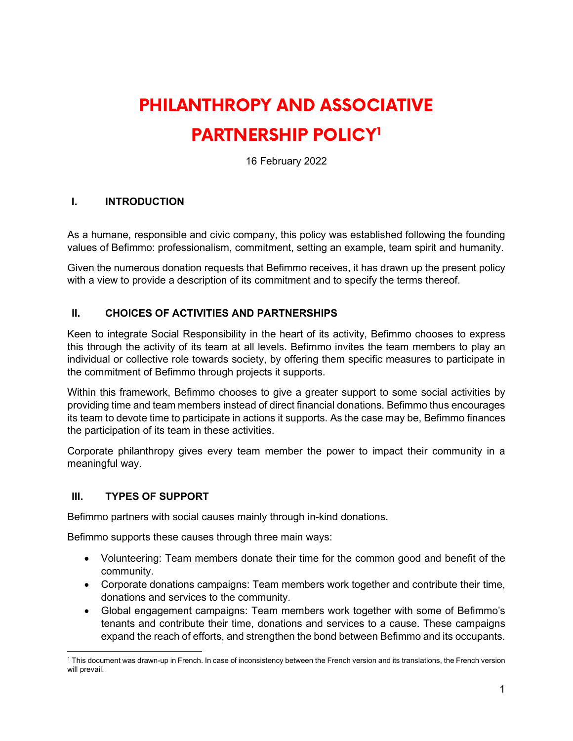# **PHILANTHROPY AND ASSOCIATIVE PARTNERSHIP POLICY[1](#page-0-0)**

16 February 2022

#### **I. INTRODUCTION**

As a humane, responsible and civic company, this policy was established following the founding values of Befimmo: professionalism, commitment, setting an example, team spirit and humanity.

Given the numerous donation requests that Befimmo receives, it has drawn up the present policy with a view to provide a description of its commitment and to specify the terms thereof.

#### **II. CHOICES OF ACTIVITIES AND PARTNERSHIPS**

Keen to integrate Social Responsibility in the heart of its activity, Befimmo chooses to express this through the activity of its team at all levels. Befimmo invites the team members to play an individual or collective role towards society, by offering them specific measures to participate in the commitment of Befimmo through projects it supports.

Within this framework, Befimmo chooses to give a greater support to some social activities by providing time and team members instead of direct financial donations. Befimmo thus encourages its team to devote time to participate in actions it supports. As the case may be, Befimmo finances the participation of its team in these activities.

Corporate philanthropy gives every team member the power to impact their community in a meaningful way.

#### **III. TYPES OF SUPPORT**

Befimmo partners with social causes mainly through in-kind donations.

Befimmo supports these causes through three main ways:

- Volunteering: Team members donate their time for the common good and benefit of the community.
- Corporate donations campaigns: Team members work together and contribute their time, donations and services to the community.
- Global engagement campaigns: Team members work together with some of Befimmo's tenants and contribute their time, donations and services to a cause. These campaigns expand the reach of efforts, and strengthen the bond between Befimmo and its occupants.

<span id="page-0-0"></span><sup>1</sup> This document was drawn-up in French. In case of inconsistency between the French version and its translations, the French version will prevail.